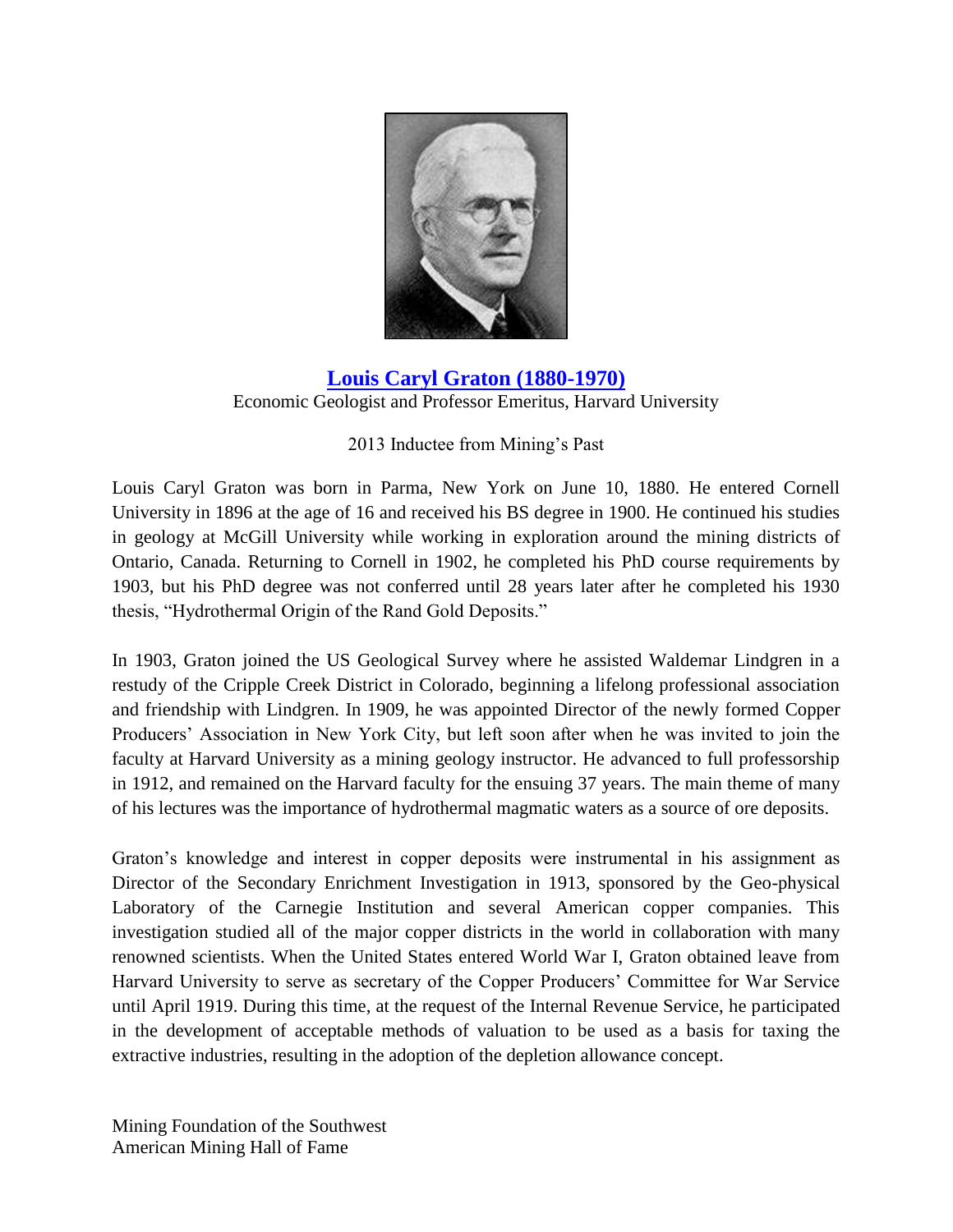

**[Louis Caryl Graton](http://www.youtube.com/watch?feature=player_embedded&v=6OCUF8kadDg) (1880-1970)** Economic Geologist and Professor Emeritus, Harvard University

## 2013 Inductee from Mining's Past

Louis Caryl Graton was born in Parma, New York on June 10, 1880. He entered Cornell University in 1896 at the age of 16 and received his BS degree in 1900. He continued his studies in geology at McGill University while working in exploration around the mining districts of Ontario, Canada. Returning to Cornell in 1902, he completed his PhD course requirements by 1903, but his PhD degree was not conferred until 28 years later after he completed his 1930 thesis, "Hydrothermal Origin of the Rand Gold Deposits."

In 1903, Graton joined the US Geological Survey where he assisted Waldemar Lindgren in a restudy of the Cripple Creek District in Colorado, beginning a lifelong professional association and friendship with Lindgren. In 1909, he was appointed Director of the newly formed Copper Producers' Association in New York City, but left soon after when he was invited to join the faculty at Harvard University as a mining geology instructor. He advanced to full professorship in 1912, and remained on the Harvard faculty for the ensuing 37 years. The main theme of many of his lectures was the importance of hydrothermal magmatic waters as a source of ore deposits.

Graton's knowledge and interest in copper deposits were instrumental in his assignment as Director of the Secondary Enrichment Investigation in 1913, sponsored by the Geo-physical Laboratory of the Carnegie Institution and several American copper companies. This investigation studied all of the major copper districts in the world in collaboration with many renowned scientists. When the United States entered World War I, Graton obtained leave from Harvard University to serve as secretary of the Copper Producers' Committee for War Service until April 1919. During this time, at the request of the Internal Revenue Service, he participated in the development of acceptable methods of valuation to be used as a basis for taxing the extractive industries, resulting in the adoption of the depletion allowance concept.

Mining Foundation of the Southwest American Mining Hall of Fame